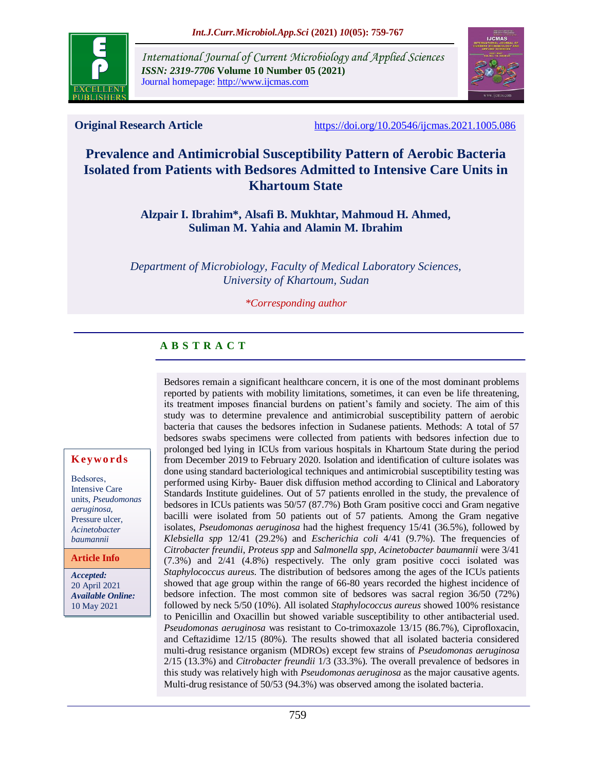

*International Journal of Current Microbiology and Applied Sciences ISSN: 2319-7706* **Volume 10 Number 05 (2021)**  Journal homepage: http://www.ijcmas.com



**Original Research Article** <https://doi.org/10.20546/ijcmas.2021.1005.086>

# **Prevalence and Antimicrobial Susceptibility Pattern of Aerobic Bacteria Isolated from Patients with Bedsores Admitted to Intensive Care Units in Khartoum State**

**Alzpair I. Ibrahim\*, Alsafi B. Mukhtar, Mahmoud H. Ahmed, Suliman M. Yahia and Alamin M. Ibrahim**

*Department of Microbiology, Faculty of Medical Laboratory Sciences, University of Khartoum, Sudan*

*\*Corresponding author*

#### **A B S T R A C T**

Bedsores remain a significant healthcare concern, it is one of the most dominant problems reported by patients with mobility limitations, sometimes, it can even be life threatening, its treatment imposes financial burdens on patient's family and society. The aim of this study was to determine prevalence and antimicrobial susceptibility pattern of aerobic bacteria that causes the bedsores infection in Sudanese patients. Methods: A total of 57 bedsores swabs specimens were collected from patients with bedsores infection due to prolonged bed lying in ICUs from various hospitals in Khartoum State during the period from December 2019 to February 2020. Isolation and identification of culture isolates was done using standard bacteriological techniques and antimicrobial susceptibility testing was performed using Kirby- Bauer disk diffusion method according to Clinical and Laboratory Standards Institute guidelines. Out of 57 patients enrolled in the study, the prevalence of bedsores in ICUs patients was 50/57 (87.7%) Both Gram positive cocci and Gram negative bacilli were isolated from 50 patients out of 57 patients. Among the Gram negative isolates, *Pseudomonas aeruginosa* had the highest frequency 15/41 (36.5%), followed by *Klebsiella spp* 12/41 (29.2%) and *Escherichia coli* 4/41 (9.7%). The frequencies of *Citrobacter freundii*, *Proteus spp* and *Salmonella spp*, *Acinetobacter baumannii* were 3/41 (7.3%) and 2/41 (4.8%) respectively. The only gram positive cocci isolated was *Staphylococcus aureus*. The distribution of bedsores among the ages of the ICUs patients showed that age group within the range of 66-80 years recorded the highest incidence of bedsore infection. The most common site of bedsores was sacral region 36/50 (72%) followed by neck 5/50 (10%). All isolated *Staphylococcus aureus* showed 100% resistance to Penicillin and Oxacillin but showed variable susceptibility to other antibacterial used. *Pseudomonas aeruginosa* was resistant to Co-trimoxazole 13/15 (86.7%), Ciprofloxacin, and Ceftazidime 12/15 (80%). The results showed that all isolated bacteria considered multi-drug resistance organism (MDROs) except few strains of *Pseudomonas aeruginosa*  2/15 (13.3%) and *Citrobacter freundii* 1/3 (33.3%). The overall prevalence of bedsores in this study was relatively high with *Pseudomonas aeruginosa* as the major causative agents. Multi-drug resistance of 50/53 (94.3%) was observed among the isolated bacteria.

#### **K ey w o rd s**

Bedsores, Intensive Care units, *Pseudomonas aeruginosa,* Pressure ulcer, *Acinetobacter baumannii*

**Article Info**

*Accepted:*  20 April 2021 *Available Online:* 10 May 2021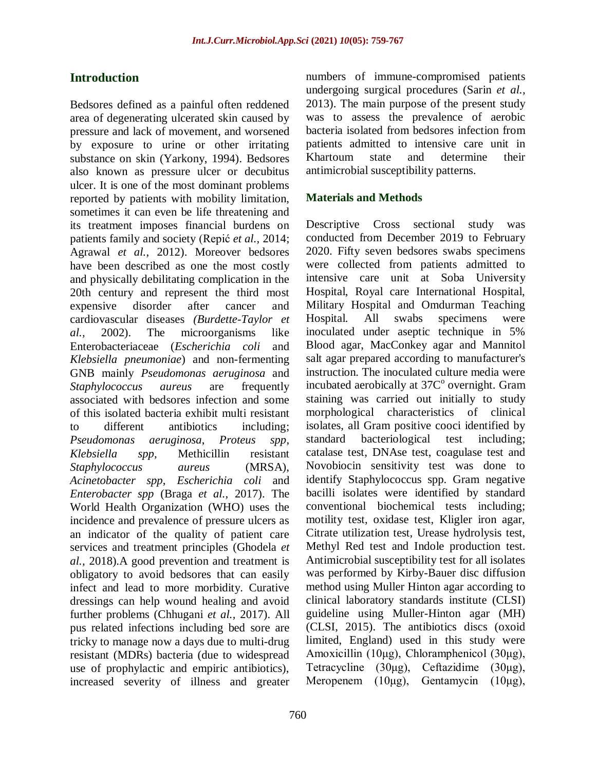# **Introduction**

Bedsores defined as a painful often reddened area of degenerating ulcerated skin caused by pressure and lack of movement, and worsened by exposure to urine or other irritating substance on skin (Yarkony, 1994). Bedsores also known as pressure ulcer or decubitus ulcer. It is one of the most dominant problems reported by patients with mobility limitation, sometimes it can even be life threatening and its treatment imposes financial burdens on patients family and society (Repić *et al.,* 2014; Agrawal *et al.,* 2012). Moreover bedsores have been described as one the most costly and physically debilitating complication in the 20th century and represent the third most expensive disorder after cancer and cardiovascular diseases *(Burdette-Taylor et al.,* 2002). The microorganisms like Enterobacteriaceae (*Escherichia coli* and *Klebsiella pneumoniae*) and non-fermenting GNB mainly *Pseudomonas aeruginosa* and *Staphylococcus aureus* are frequently associated with bedsores infection and some of this isolated bacteria exhibit multi resistant to different antibiotics including; *Pseudomonas aeruginosa*, *Proteus spp*, *Klebsiella spp*, Methicillin resistant *Staphylococcus aureus* (MRSA), *Acinetobacter spp*, *Escherichia coli* and *Enterobacter spp* (Braga *et al.,* 2017). The World Health Organization (WHO) uses the incidence and prevalence of pressure ulcers as an indicator of the quality of patient care services and treatment principles (Ghodela *et al.,* 2018).A good prevention and treatment is obligatory to avoid bedsores that can easily infect and lead to more morbidity. Curative dressings can help wound healing and avoid further problems (Chhugani *et al.,* 2017). All pus related infections including bed sore are tricky to manage now a days due to multi-drug resistant (MDRs) bacteria (due to widespread use of prophylactic and empiric antibiotics), increased severity of illness and greater

numbers of immune-compromised patients undergoing surgical procedures (Sarin *et al.,* 2013). The main purpose of the present study was to assess the prevalence of aerobic bacteria isolated from bedsores infection from patients admitted to intensive care unit in Khartoum state and determine their antimicrobial susceptibility patterns.

## **Materials and Methods**

Descriptive Cross sectional study was conducted from December 2019 to February 2020. Fifty seven bedsores swabs specimens were collected from patients admitted to intensive care unit at Soba University Hospital, Royal care International Hospital, Military Hospital and Omdurman Teaching Hospital. All swabs specimens were inoculated under aseptic technique in 5% Blood agar, MacConkey agar and Mannitol salt agar prepared according to manufacturer's instruction. The inoculated culture media were incubated aerobically at 37C<sup>o</sup> overnight. Gram staining was carried out initially to study morphological characteristics of clinical isolates, all Gram positive cooci identified by standard bacteriological test including; catalase test, DNAse test, coagulase test and Novobiocin sensitivity test was done to identify Staphylococcus spp. Gram negative bacilli isolates were identified by standard conventional biochemical tests including; motility test, oxidase test, Kligler iron agar, Citrate utilization test, Urease hydrolysis test, Methyl Red test and Indole production test. Antimicrobial susceptibility test for all isolates was performed by Kirby-Bauer disc diffusion method using Muller Hinton agar according to clinical laboratory standards institute (CLSI) guideline using Muller-Hinton agar (MH) (CLSI, 2015). The antibiotics discs (oxoid limited, England) used in this study were Amoxicillin (10μg), Chloramphenicol (30μg), Tetracycline (30μg), Ceftazidime (30μg), Meropenem (10μg), Gentamycin (10μg),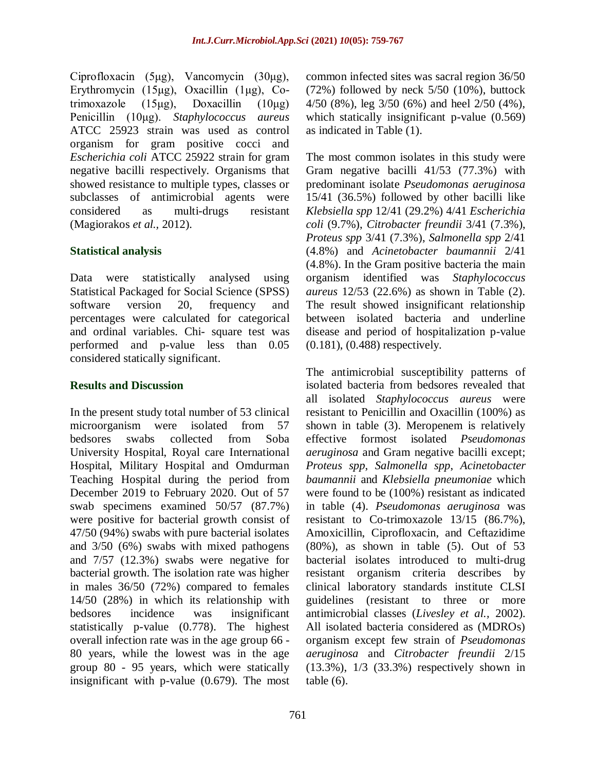Ciprofloxacin (5μg), Vancomycin (30μg), Erythromycin (15μg), Oxacillin (1μg), Cotrimoxazole  $(15\mu g)$ , Doxacillin  $(10\mu g)$ Penicillin (10μg). *Staphylococcus aureus* ATCC 25923 strain was used as control organism for gram positive cocci and *Escherichia coli* ATCC 25922 strain for gram negative bacilli respectively. Organisms that showed resistance to multiple types, classes or subclasses of antimicrobial agents were considered as multi-drugs resistant (Magiorakos *et al.,* 2012).

## **Statistical analysis**

Data were statistically analysed using Statistical Packaged for Social Science (SPSS) software version 20, frequency and percentages were calculated for categorical and ordinal variables. Chi- square test was performed and p-value less than 0.05 considered statically significant.

## **Results and Discussion**

In the present study total number of 53 clinical microorganism were isolated from 57 bedsores swabs collected from Soba University Hospital, Royal care International Hospital, Military Hospital and Omdurman Teaching Hospital during the period from December 2019 to February 2020. Out of 57 swab specimens examined 50/57 (87.7%) were positive for bacterial growth consist of 47/50 (94%) swabs with pure bacterial isolates and 3/50 (6%) swabs with mixed pathogens and 7/57 (12.3%) swabs were negative for bacterial growth. The isolation rate was higher in males 36/50 (72%) compared to females 14/50 (28%) in which its relationship with bedsores incidence was insignificant statistically p-value (0.778). The highest overall infection rate was in the age group 66 - 80 years, while the lowest was in the age group 80 - 95 years, which were statically insignificant with p-value (0.679). The most

common infected sites was sacral region 36/50 (72%) followed by neck 5/50 (10%), buttock 4/50 (8%), leg 3/50 (6%) and heel 2/50 (4%), which statically insignificant p-value (0.569) as indicated in Table (1).

The most common isolates in this study were Gram negative bacilli 41/53 (77.3%) with predominant isolate *Pseudomonas aeruginosa*  15/41 (36.5%) followed by other bacilli like *Klebsiella spp* 12/41 (29.2%) 4/41 *Escherichia coli* (9.7%), *Citrobacter freundii* 3/41 (7.3%), *Proteus spp* 3/41 (7.3%), *Salmonella spp* 2/41 (4.8%) and *Acinetobacter baumannii* 2/41 (4.8%). In the Gram positive bacteria the main organism identified was *Staphylococcus aureus* 12/53 (22.6%) as shown in Table (2). The result showed insignificant relationship between isolated bacteria and underline disease and period of hospitalization p-value (0.181), (0.488) respectively.

The antimicrobial susceptibility patterns of isolated bacteria from bedsores revealed that all isolated *Staphylococcus aureus* were resistant to Penicillin and Oxacillin (100%) as shown in table (3). Meropenem is relatively effective formost isolated *Pseudomonas aeruginosa* and Gram negative bacilli except; *Proteus spp*, *Salmonella spp*, *Acinetobacter baumannii* and *Klebsiella pneumoniae* which were found to be (100%) resistant as indicated in table (4). *Pseudomonas aeruginosa* was resistant to Co-trimoxazole 13/15 (86.7%), Amoxicillin, Ciprofloxacin, and Ceftazidime  $(80\%)$ , as shown in table  $(5)$ . Out of 53 bacterial isolates introduced to multi-drug resistant organism criteria describes by clinical laboratory standards institute CLSI guidelines (resistant to three or more antimicrobial classes (*Livesley et al.,* 2002). All isolated bacteria considered as (MDROs) organism except few strain of *Pseudomonas aeruginosa* and *Citrobacter freundii* 2/15 (13.3%), 1/3 (33.3%) respectively shown in table  $(6)$ .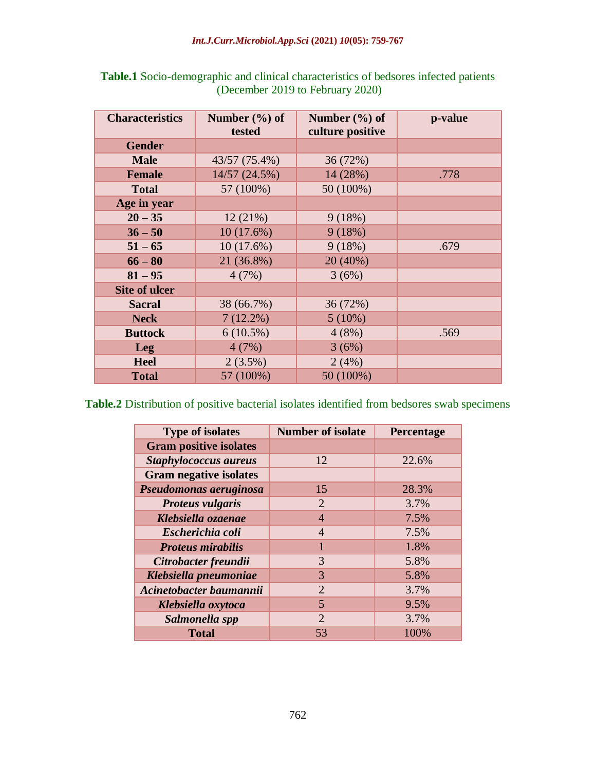| <b>Characteristics</b> | Number $(\% )$ of<br>tested | Number $(\% )$ of<br>culture positive | p-value |
|------------------------|-----------------------------|---------------------------------------|---------|
| <b>Gender</b>          |                             |                                       |         |
| <b>Male</b>            | 43/57 (75.4%)               | 36 (72%)                              |         |
| <b>Female</b>          | 14/57 (24.5%)               | 14 (28%)                              | .778    |
| <b>Total</b>           | 57 (100%)                   | $50(100\%)$                           |         |
| Age in year            |                             |                                       |         |
| $20 - 35$              | 12(21%)                     | 9(18%)                                |         |
| $36 - 50$              | 10(17.6%)                   | 9(18%)                                |         |
| $51 - 65$              | $10(17.6\%)$                | 9(18%)                                | .679    |
| $66 - 80$              | 21 (36.8%)                  | 20 (40%)                              |         |
| $81 - 95$              | 4(7%)                       | 3(6%)                                 |         |
| <b>Site of ulcer</b>   |                             |                                       |         |
| <b>Sacral</b>          | 38 (66.7%)                  | 36 (72%)                              |         |
| <b>Neck</b>            | $7(12.2\%)$                 | $5(10\%)$                             |         |
| <b>Buttock</b>         | $6(10.5\%)$                 | 4(8%)                                 | .569    |
| <b>Leg</b>             | 4(7%)                       | 3(6%)                                 |         |
| <b>Heel</b>            | $2(3.5\%)$                  | 2(4%)                                 |         |
| <b>Total</b>           | 57 (100%)                   | 50 (100%)                             |         |

| <b>Table.1</b> Socio-demographic and clinical characteristics of bedsores infected patients |
|---------------------------------------------------------------------------------------------|
| (December 2019 to February 2020)                                                            |

**Table.2** Distribution of positive bacterial isolates identified from bedsores swab specimens

| <b>Type of isolates</b>       | <b>Number of isolate</b> | Percentage |
|-------------------------------|--------------------------|------------|
| <b>Gram positive isolates</b> |                          |            |
| <b>Staphylococcus aureus</b>  | 12                       | 22.6%      |
| <b>Gram negative isolates</b> |                          |            |
| Pseudomonas aeruginosa        | 15                       | 28.3%      |
| <b>Proteus vulgaris</b>       | $\overline{2}$           | 3.7%       |
| Klebsiella ozaenae            | $\overline{4}$           | 7.5%       |
| Escherichia coli              | $\overline{4}$           | 7.5%       |
| <b>Proteus mirabilis</b>      | 1                        | 1.8%       |
| Citrobacter freundii          | 3                        | 5.8%       |
| Klebsiella pneumoniae         | 3                        | 5.8%       |
| Acinetobacter baumannii       | $\overline{2}$           | 3.7%       |
| Klebsiella oxytoca            | 5                        | 9.5%       |
| Salmonella spp                | $\overline{2}$           | 3.7%       |
| <b>Total</b>                  | 53                       | 100%       |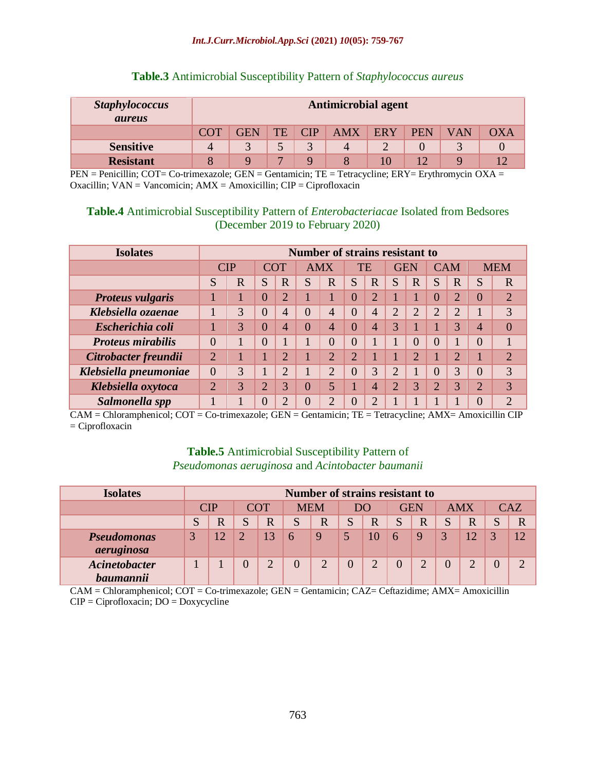#### *Int.J.Curr.Microbiol.App.Sci* **(2021)** *10***(05): 759-767**

| <b>Staphylococcus</b><br><i>aureus</i> | <b>Antimicrobial agent</b> |                                                                          |                          |  |   |  |  |  |  |  |
|----------------------------------------|----------------------------|--------------------------------------------------------------------------|--------------------------|--|---|--|--|--|--|--|
|                                        | <b>COT</b>                 | TE<br><b>AMX</b><br>GEN<br>OXA<br>CIP<br><b>ERY</b><br><b>PEN</b><br>VAN |                          |  |   |  |  |  |  |  |
| <b>Sensitive</b>                       |                            |                                                                          |                          |  | 4 |  |  |  |  |  |
| <b>Resistant</b>                       |                            |                                                                          | $\overline{\phantom{0}}$ |  |   |  |  |  |  |  |

#### **Table.3** Antimicrobial Susceptibility Pattern of *Staphylococcus aureus*

PEN = Penicillin; COT= Co-trimexazole; GEN = Gentamicin; TE = Tetracycline; ERY= Erythromycin OXA = Oxacillin; VAN = Vancomicin; AMX = Amoxicillin; CIP = Ciprofloxacin

#### **Table.4** Antimicrobial Susceptibility Pattern of *Enterobacteriacae* Isolated from Bedsores (December 2019 to February 2020)

| <b>Isolates</b>          | <b>Number of strains resistant to</b> |             |                |                |   |              |                |                |                |          |                |                |   |                |
|--------------------------|---------------------------------------|-------------|----------------|----------------|---|--------------|----------------|----------------|----------------|----------|----------------|----------------|---|----------------|
|                          |                                       | <b>CIP</b>  | <b>COT</b>     |                |   | <b>AMX</b>   |                | TE             | <b>GEN</b>     |          |                | <b>CAM</b>     |   | <b>MEM</b>     |
|                          | S                                     | $\mathbf R$ | S              | $\mathbf R$    | S | $\mathbf R$  | S              | $\mathbf R$    | S              | R        | S              | R              | S | $\overline{R}$ |
| <b>Proteus vulgaris</b>  |                                       |             | 0              | $\overline{2}$ |   |              | O              | $\overline{2}$ |                |          | $\overline{0}$ | $\overline{2}$ | 0 | $\overline{2}$ |
| Klebsiella ozaenae       |                                       | 3           | $\overline{0}$ | 4              | 0 | 4            | 0              | $\overline{4}$ | $\overline{2}$ | っ        | C              | $\overline{2}$ |   | 3              |
| Escherichia coli         |                                       | 3           |                | 4              |   | 4            | $\cup$         | $\overline{4}$ | 3              |          |                | $\mathbf 3$    | 4 | $\overline{0}$ |
| <b>Proteus mirabilis</b> | $\Omega$                              |             | 0              |                |   | $\mathbf{U}$ | $\cup$         |                |                | $\left($ | $\overline{0}$ |                |   |                |
| Citrobacter freundii     | $\overline{2}$                        |             |                | $\overline{2}$ |   | ↑            | $\overline{2}$ |                |                | っ        |                | $\overline{2}$ |   | $\overline{2}$ |
| Klebsiella pneumoniae    | $\overline{0}$                        | 3           | 1              | $\overline{2}$ |   | ∍            | O              | 3              | $\overline{2}$ |          | 0              | 3              | 0 | 3              |
| Klebsiella oxytoca       | $\overline{2}$                        | 3           | $\bigcap$      | 3              | 0 | 5            |                | $\overline{4}$ | $\overline{2}$ | 3        | ↑              | 3              | ↑ | 3              |
| Salmonella spp           |                                       |             |                | ◠              |   | ↑            | 0              | $\bigcap$      |                |          |                |                |   | $\overline{2}$ |

CAM = Chloramphenicol; COT = Co-trimexazole; GEN = Gentamicin; TE = Tetracycline; AMX= Amoxicillin CIP = Ciprofloxacin

## **Table.5** Antimicrobial Susceptibility Pattern of *Pseudomonas aeruginosa* and *Acintobacter baumanii*

| <b>Isolates</b>                          | <b>Number of strains resistant to</b> |            |               |             |            |   |     |   |               |            |              |            |   |       |
|------------------------------------------|---------------------------------------|------------|---------------|-------------|------------|---|-----|---|---------------|------------|--------------|------------|---|-------|
|                                          |                                       | <b>CIP</b> |               | <b>COT</b>  | <b>MEM</b> |   | D() |   |               | <b>GEN</b> |              | <b>AMX</b> |   | C A Z |
|                                          | S                                     |            | c             | $\mathbf R$ |            | R | S   | R | S             | R          | $\mathbf{C}$ | R          | S | R     |
| <b>Pseudomonas</b><br>aeruginosa         | J                                     |            | $\mathcal{D}$ | 13          | 6          | 9 |     | 0 | $\mathfrak b$ | 9          | 3            |            |   | 12    |
| <b>Acinetobacter</b><br><b>baumannii</b> |                                       |            |               |             |            | ↑ |     |   |               |            |              | ◠          |   | ⌒     |

CAM = Chloramphenicol; COT = Co-trimexazole; GEN = Gentamicin; CAZ= Ceftazidime; AMX= Amoxicillin CIP = Ciprofloxacin; DO = Doxycycline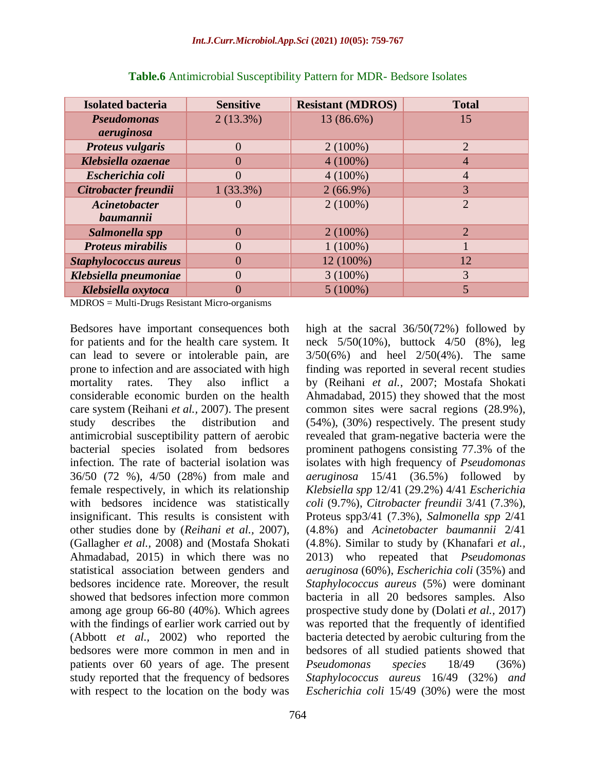| <b>Isolated bacteria</b>     | <b>Sensitive</b> | <b>Resistant (MDROS)</b> | <b>Total</b>   |
|------------------------------|------------------|--------------------------|----------------|
| <b>Pseudomonas</b>           | $2(13.3\%)$      | 13 (86.6%)               | 15             |
| aeruginosa                   |                  |                          |                |
| <b>Proteus vulgaris</b>      |                  | $2(100\%)$               | $\overline{2}$ |
| Klebsiella ozaenae           |                  | $4(100\%)$               | $\overline{4}$ |
| Escherichia coli             |                  | $4(100\%)$               | 4              |
| Citrobacter freundii         | $1(33.3\%)$      | $2(66.9\%)$              | 3              |
| Acinetobacter                |                  | $2(100\%)$               | $\overline{2}$ |
| baumannii                    |                  |                          |                |
| Salmonella spp               | $\Omega$         | $2(100\%)$               | $\overline{2}$ |
| <b>Proteus mirabilis</b>     |                  | $1(100\%)$               |                |
| <b>Staphylococcus aureus</b> |                  | 12 (100%)                | 12             |
| Klebsiella pneumoniae        |                  | $3(100\%)$               | 3              |
| Klebsiella oxytoca           |                  | $5(100\%)$               | 5              |

**Table.6** Antimicrobial Susceptibility Pattern for MDR- Bedsore Isolates

MDROS = Multi-Drugs Resistant Micro-organisms

Bedsores have important consequences both for patients and for the health care system. It can lead to severe or intolerable pain, are prone to infection and are associated with high mortality rates. They also inflict a considerable economic burden on the health care system (Reihani *et al.,* 2007). The present study describes the distribution and antimicrobial susceptibility pattern of aerobic bacterial species isolated from bedsores infection. The rate of bacterial isolation was 36/50 (72 %), 4/50 (28%) from male and female respectively, in which its relationship with bedsores incidence was statistically insignificant. This results is consistent with other studies done by (*Reihani et al.,* 2007), (Gallagher *et al.,* 2008) and (Mostafa Shokati Ahmadabad, 2015) in which there was no statistical association between genders and bedsores incidence rate. Moreover, the result showed that bedsores infection more common among age group 66-80 (40%). Which agrees with the findings of earlier work carried out by (Abbott *et al.,* 2002) who reported the bedsores were more common in men and in patients over 60 years of age. The present study reported that the frequency of bedsores with respect to the location on the body was

high at the sacral 36/50(72%) followed by neck 5/50(10%), buttock 4/50 (8%), leg 3/50(6%) and heel 2/50(4%). The same finding was reported in several recent studies by (Reihani *et al.,* 2007; Mostafa Shokati Ahmadabad, 2015) they showed that the most common sites were sacral regions (28.9%), (54%), (30%) respectively. The present study revealed that gram-negative bacteria were the prominent pathogens consisting 77.3% of the isolates with high frequency of *Pseudomonas aeruginosa* 15/41 (36.5%) followed by *Klebsiella spp* 12/41 (29.2%) 4/41 *Escherichia coli* (9.7%), *Citrobacter freundii* 3/41 (7.3%), Proteus spp3/41 (7.3%), *Salmonella spp* 2/41 (4.8%) and *Acinetobacter baumannii* 2/41 (4.8%). Similar to study by (Khanafari *et al.,* 2013) who repeated that *Pseudomonas aeruginosa* (60%), *Escherichia coli* (35%) and *Staphylococcus aureus* (5%) were dominant bacteria in all 20 bedsores samples. Also prospective study done by (Dolati *et al.,* 2017) was reported that the frequently of identified bacteria detected by aerobic culturing from the bedsores of all studied patients showed that *Pseudomonas species* 18/49 (36%) *Staphylococcus aureus* 16/49 (32%) *and Escherichia coli* 15/49 (30%) were the most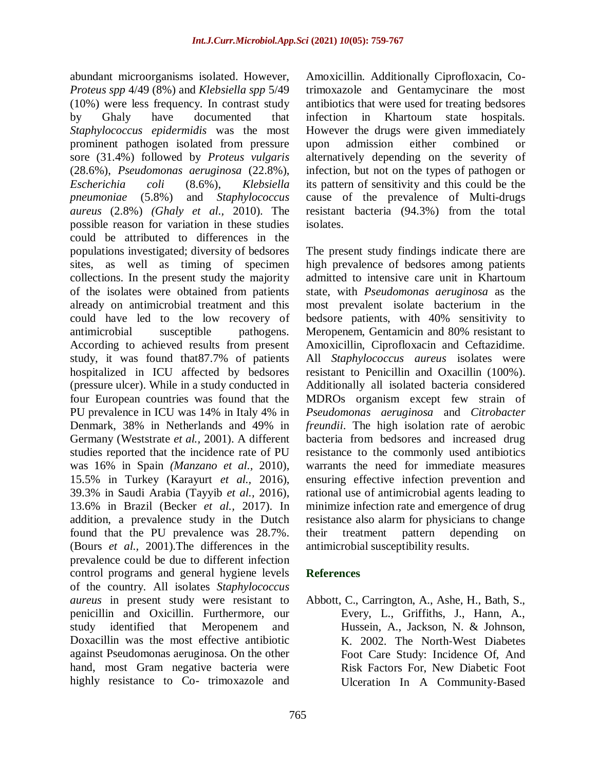abundant microorganisms isolated. However, *Proteus spp* 4/49 (8%) and *Klebsiella spp* 5/49 (10%) were less frequency. In contrast study by Ghaly have documented that *Staphylococcus epidermidis* was the most prominent pathogen isolated from pressure sore (31.4%) followed by *Proteus vulgaris* (28.6%), *Pseudomonas aeruginosa* (22.8%), *Escherichia coli* (8.6%), *Klebsiella pneumoniae* (5.8%) and *Staphylococcus aureus* (2.8%) *(Ghaly et al.,* 2010). The possible reason for variation in these studies could be attributed to differences in the populations investigated; diversity of bedsores sites, as well as timing of specimen collections. In the present study the majority of the isolates were obtained from patients already on antimicrobial treatment and this could have led to the low recovery of antimicrobial susceptible pathogens. According to achieved results from present study, it was found that87.7% of patients hospitalized in ICU affected by bedsores (pressure ulcer). While in a study conducted in four European countries was found that the PU prevalence in ICU was 14% in Italy 4% in Denmark, 38% in Netherlands and 49% in Germany (Weststrate *et al.,* 2001). A different studies reported that the incidence rate of PU was 16% in Spain *(Manzano et al.,* 2010), 15.5% in Turkey (Karayurt *et al.,* 2016), 39.3% in Saudi Arabia (Tayyib *et al.,* 2016), 13.6% in Brazil (Becker *et al.,* 2017). In addition, a prevalence study in the Dutch found that the PU prevalence was 28.7%. (Bours *et al.,* 2001).The differences in the prevalence could be due to different infection control programs and general hygiene levels of the country. All isolates *Staphylococcus aureus* in present study were resistant to penicillin and Oxicillin. Furthermore, our study identified that Meropenem and Doxacillin was the most effective antibiotic against Pseudomonas aeruginosa. On the other hand, most Gram negative bacteria were highly resistance to Co- trimoxazole and

Amoxicillin. Additionally Ciprofloxacin, Cotrimoxazole and Gentamycinare the most antibiotics that were used for treating bedsores infection in Khartoum state hospitals. However the drugs were given immediately upon admission either combined or alternatively depending on the severity of infection, but not on the types of pathogen or its pattern of sensitivity and this could be the cause of the prevalence of Multi-drugs resistant bacteria (94.3%) from the total isolates.

The present study findings indicate there are high prevalence of bedsores among patients admitted to intensive care unit in Khartoum state, with *Pseudomonas aeruginosa* as the most prevalent isolate bacterium in the bedsore patients, with 40% sensitivity to Meropenem, Gentamicin and 80% resistant to Amoxicillin, Ciprofloxacin and Ceftazidime. All *Staphylococcus aureus* isolates were resistant to Penicillin and Oxacillin (100%). Additionally all isolated bacteria considered MDROs organism except few strain of *Pseudomonas aeruginosa* and *Citrobacter freundii*. The high isolation rate of aerobic bacteria from bedsores and increased drug resistance to the commonly used antibiotics warrants the need for immediate measures ensuring effective infection prevention and rational use of antimicrobial agents leading to minimize infection rate and emergence of drug resistance also alarm for physicians to change their treatment pattern depending on antimicrobial susceptibility results.

## **References**

Abbott, C., Carrington, A., Ashe, H., Bath, S., Every, L., Griffiths, J., Hann, A., Hussein, A., Jackson, N. & Johnson, K. 2002. The North‐West Diabetes Foot Care Study: Incidence Of, And Risk Factors For, New Diabetic Foot Ulceration In A Community‐Based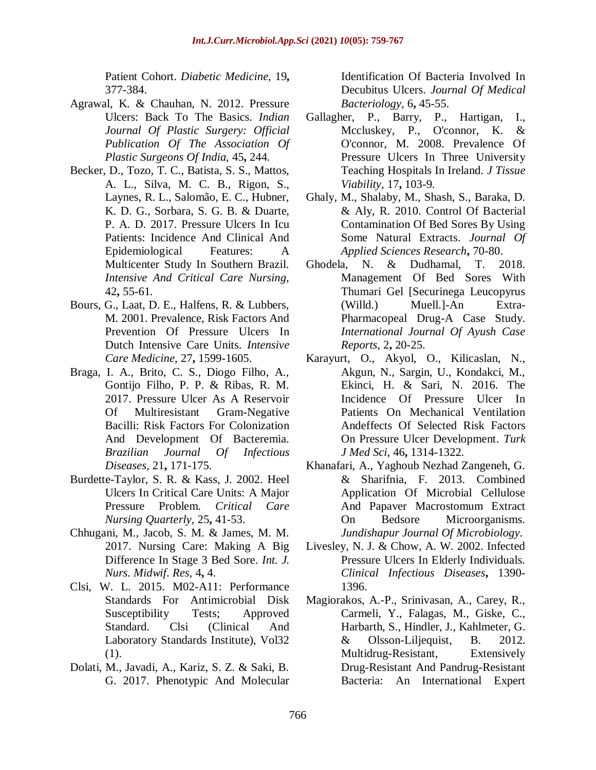Patient Cohort. *Diabetic Medicine,* 19**,** 377-384.

- Agrawal, K. & Chauhan, N. 2012. Pressure Ulcers: Back To The Basics. *Indian Journal Of Plastic Surgery: Official Publication Of The Association Of Plastic Surgeons Of India,* 45**,** 244.
- Becker, D., Tozo, T. C., Batista, S. S., Mattos, A. L., Silva, M. C. B., Rigon, S., Laynes, R. L., Salomão, E. C., Hubner, K. D. G., Sorbara, S. G. B. & Duarte, P. A. D. 2017. Pressure Ulcers In Icu Patients: Incidence And Clinical And Epidemiological Features: A Multicenter Study In Southern Brazil. *Intensive And Critical Care Nursing,* 42**,** 55-61.
- Bours, G., Laat, D. E., Halfens, R. & Lubbers, M. 2001. Prevalence, Risk Factors And Prevention Of Pressure Ulcers In Dutch Intensive Care Units. *Intensive Care Medicine,* 27**,** 1599-1605.
- Braga, I. A., Brito, C. S., Diogo Filho, A., Gontijo Filho, P. P. & Ribas, R. M. 2017. Pressure Ulcer As A Reservoir Of Multiresistant Gram-Negative Bacilli: Risk Factors For Colonization And Development Of Bacteremia. *Brazilian Journal Of Infectious Diseases,* 21**,** 171-175.
- Burdette-Taylor, S. R. & Kass, J. 2002. Heel Ulcers In Critical Care Units: A Major Pressure Problem. *Critical Care Nursing Quarterly,* 25**,** 41-53.
- Chhugani, M., Jacob, S. M. & James, M. M. 2017. Nursing Care: Making A Big Difference In Stage 3 Bed Sore. *Int. J. Nurs. Midwif. Res,* 4**,** 4.
- Clsi, W. L. 2015. M02-A11: Performance Standards For Antimicrobial Disk Susceptibility Tests; Approved Standard. Clsi (Clinical And Laboratory Standards Institute), Vol32 (1).
- Dolati, M., Javadi, A., Kariz, S. Z. & Saki, B. G. 2017. Phenotypic And Molecular

Identification Of Bacteria Involved In Decubitus Ulcers. *Journal Of Medical Bacteriology,* 6**,** 45-55.

- Gallagher, P., Barry, P., Hartigan, I., Mccluskey, P., O'connor, K. & O'connor, M. 2008. Prevalence Of Pressure Ulcers In Three University Teaching Hospitals In Ireland. *J Tissue Viability,* 17**,** 103-9.
- Ghaly, M., Shalaby, M., Shash, S., Baraka, D. & Aly, R. 2010. Control Of Bacterial Contamination Of Bed Sores By Using Some Natural Extracts. *Journal Of Applied Sciences Research***,** 70-80.
- Ghodela, N. & Dudhamal, T. 2018. Management Of Bed Sores With Thumari Gel [Securinega Leucopyrus (Willd.) Muell.]-An Extra-Pharmacopeal Drug-A Case Study. *International Journal Of Ayush Case Reports,* 2**,** 20-25.
- Karayurt, O., Akyol, O., Kilicaslan, N., Akgun, N., Sargin, U., Kondakci, M., Ekinci, H. & Sari, N. 2016. The Incidence Of Pressure Ulcer In Patients On Mechanical Ventilation Andeffects Of Selected Risk Factors On Pressure Ulcer Development. *Turk J Med Sci,* 46**,** 1314-1322.
- Khanafari, A., Yaghoub Nezhad Zangeneh, G. & Sharifnia, F. 2013. Combined Application Of Microbial Cellulose And Papaver Macrostomum Extract On Bedsore Microorganisms. *Jundishapur Journal Of Microbiology*.
- Livesley, N. J. & Chow, A. W. 2002. Infected Pressure Ulcers In Elderly Individuals. *Clinical Infectious Diseases***,** 1390- 1396.
- Magiorakos, A.-P., Srinivasan, A., Carey, R., Carmeli, Y., Falagas, M., Giske, C., Harbarth, S., Hindler, J., Kahlmeter, G. & Olsson-Liljequist, B. 2012. Multidrug-Resistant, Extensively Drug-Resistant And Pandrug-Resistant Bacteria: An International Expert